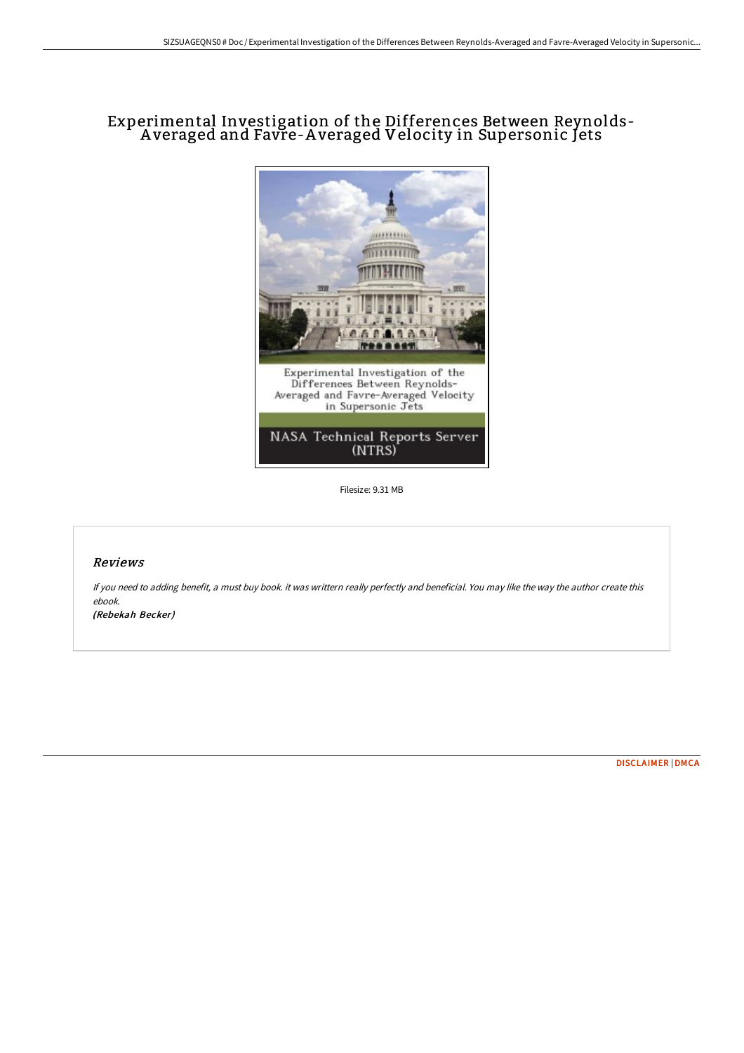# Experimental Investigation of the Differences Between Reynolds-A veraged and Favre-A veraged Velocity in Supersonic Jets



Filesize: 9.31 MB

## Reviews

If you need to adding benefit, <sup>a</sup> must buy book. it was writtern really perfectly and beneficial. You may like the way the author create this ebook.

(Rebekah Becker)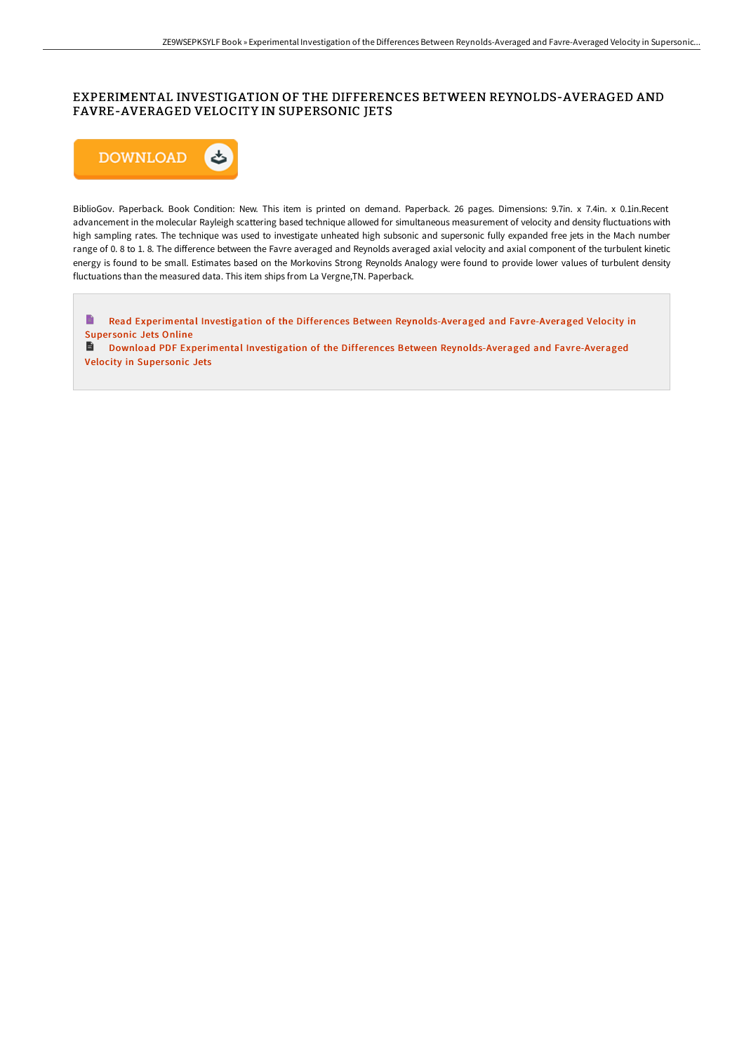## EXPERIMENTAL INVESTIGATION OF THE DIFFERENCES BETWEEN REYNOLDS-AVERAGED AND FAVRE-AVERAGED VELOCITY IN SUPERSONIC JETS



BiblioGov. Paperback. Book Condition: New. This item is printed on demand. Paperback. 26 pages. Dimensions: 9.7in. x 7.4in. x 0.1in.Recent advancement in the molecular Rayleigh scattering based technique allowed for simultaneous measurement of velocity and density fluctuations with high sampling rates. The technique was used to investigate unheated high subsonic and supersonic fully expanded free jets in the Mach number range of 0.8 to 1.8. The difference between the Favre averaged and Reynolds averaged axial velocity and axial component of the turbulent kinetic energy is found to be small. Estimates based on the Morkovins Strong Reynolds Analogy were found to provide lower values of turbulent density fluctuations than the measured data. This item ships from La Vergne,TN. Paperback.

 $\blacksquare$ Read Experimental Investigation of the Differences Between [Reynolds-Averaged](http://albedo.media/experimental-investigation-of-the-differences-be.html) and Favre-Averaged Velocity in Supersonic Jets Online

Download PDF Experimental Investigation of the Differences Between [Reynolds-Averaged](http://albedo.media/experimental-investigation-of-the-differences-be.html) and Favre-Averaged Velocity in Supersonic Jets